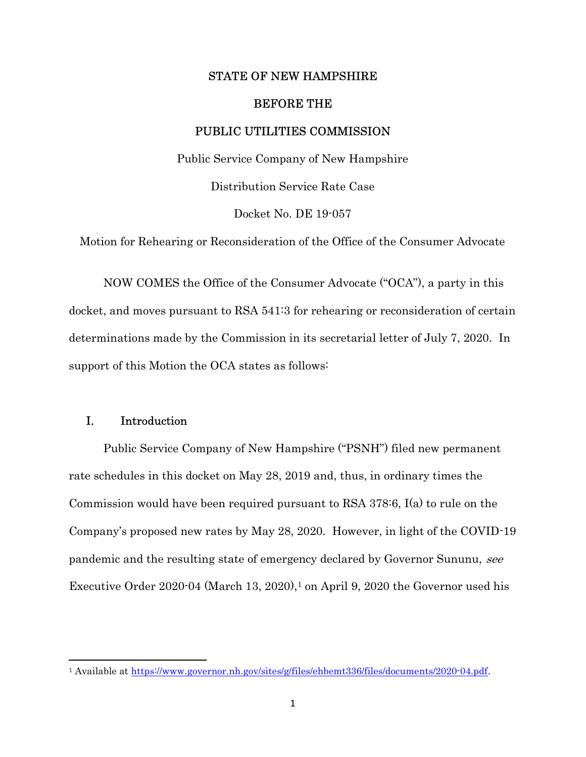## STATE OF NEW HAMPSHIRE

#### BEFORE THE

### PUBLIC UTILITIES COMMISSION

Public Service Company of New Hampshire

Distribution Service Rate Case

Docket No. DE 19-057

Motion for Rehearing or Reconsideration of the Office of the Consumer Advocate

 NOW COMES the Office of the Consumer Advocate ("OCA"), a party in this docket, and moves pursuant to RSA 541:3 for rehearing or reconsideration of certain determinations made by the Commission in its secretarial letter of July 7, 2020. In support of this Motion the OCA states as follows:

# I. Introduction

 Public Service Company of New Hampshire ("PSNH") filed new permanent rate schedules in this docket on May 28, 2019 and, thus, in ordinary times the Commission would have been required pursuant to RSA 378:6, I(a) to rule on the Company's proposed new rates by May 28, 2020. However, in light of the COVID-19 pandemic and the resulting state of emergency declared by Governor Sununu, see Executive Order  $2020.04$  (March 13,  $2020$ ),<sup>1</sup> on April 9,  $2020$  the Governor used his

<sup>1</sup> Available at https://www.governor.nh.gov/sites/g/files/ehbemt336/files/documents/2020-04.pdf.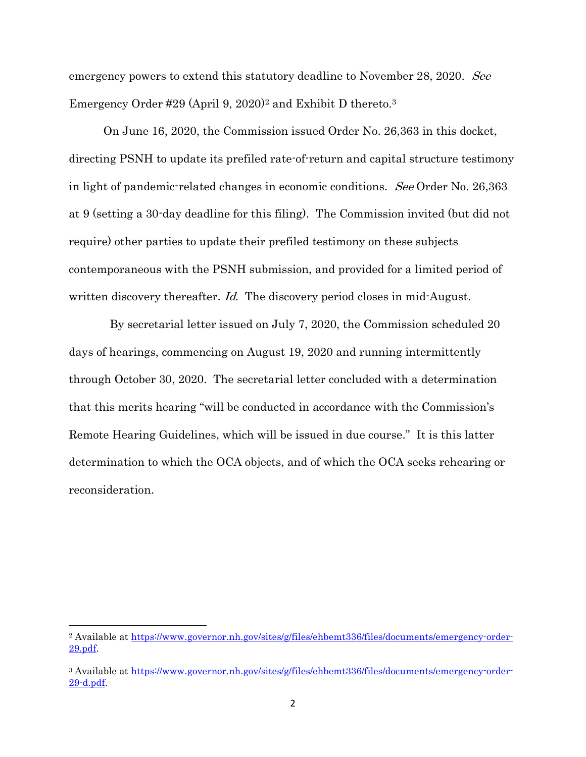emergency powers to extend this statutory deadline to November 28, 2020. See Emergency Order #29 (April 9, 2020)<sup>2</sup> and Exhibit D thereto.<sup>3</sup>

 On June 16, 2020, the Commission issued Order No. 26,363 in this docket, directing PSNH to update its prefiled rate-of-return and capital structure testimony in light of pandemic-related changes in economic conditions. See Order No. 26,363 at 9 (setting a 30-day deadline for this filing). The Commission invited (but did not require) other parties to update their prefiled testimony on these subjects contemporaneous with the PSNH submission, and provided for a limited period of written discovery thereafter. *Id.* The discovery period closes in mid-August.

 By secretarial letter issued on July 7, 2020, the Commission scheduled 20 days of hearings, commencing on August 19, 2020 and running intermittently through October 30, 2020. The secretarial letter concluded with a determination that this merits hearing "will be conducted in accordance with the Commission's Remote Hearing Guidelines, which will be issued in due course." It is this latter determination to which the OCA objects, and of which the OCA seeks rehearing or reconsideration.

<sup>2</sup> Available at https://www.governor.nh.gov/sites/g/files/ehbemt336/files/documents/emergency-order-29.pdf.

<sup>3</sup> Available at https://www.governor.nh.gov/sites/g/files/ehbemt336/files/documents/emergency-order-29-d.pdf.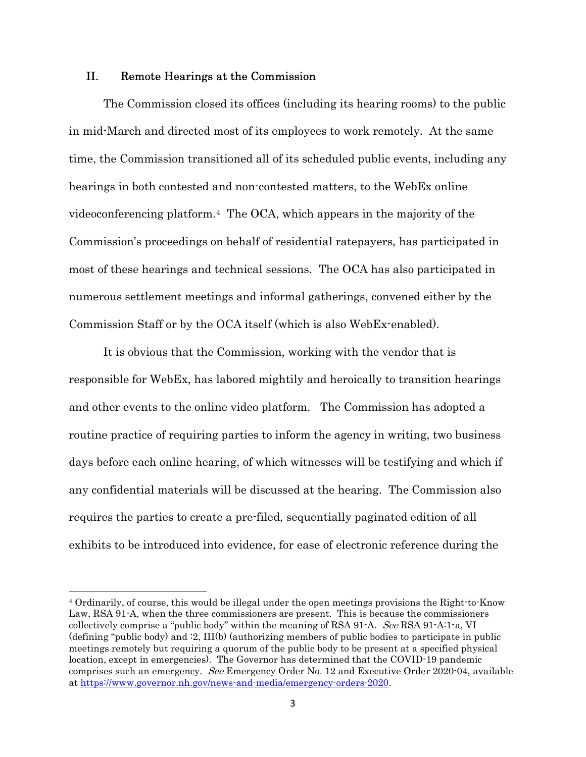## II. Remote Hearings at the Commission

The Commission closed its offices (including its hearing rooms) to the public in mid-March and directed most of its employees to work remotely. At the same time, the Commission transitioned all of its scheduled public events, including any hearings in both contested and non-contested matters, to the WebEx online videoconferencing platform.4 The OCA, which appears in the majority of the Commission's proceedings on behalf of residential ratepayers, has participated in most of these hearings and technical sessions. The OCA has also participated in numerous settlement meetings and informal gatherings, convened either by the Commission Staff or by the OCA itself (which is also WebEx-enabled).

It is obvious that the Commission, working with the vendor that is responsible for WebEx, has labored mightily and heroically to transition hearings and other events to the online video platform. The Commission has adopted a routine practice of requiring parties to inform the agency in writing, two business days before each online hearing, of which witnesses will be testifying and which if any confidential materials will be discussed at the hearing. The Commission also requires the parties to create a pre-filed, sequentially paginated edition of all exhibits to be introduced into evidence, for ease of electronic reference during the

<sup>4</sup> Ordinarily, of course, this would be illegal under the open meetings provisions the Right-to-Know Law, RSA 91-A, when the three commissioners are present. This is because the commissioners collectively comprise a "public body" within the meaning of RSA 91-A. See RSA 91-A:1-a, VI (defining "public body) and :2, III(b) (authorizing members of public bodies to participate in public meetings remotely but requiring a quorum of the public body to be present at a specified physical location, except in emergencies). The Governor has determined that the COVID-19 pandemic comprises such an emergency. See Emergency Order No. 12 and Executive Order 2020-04, available at https://www.governor.nh.gov/news-and-media/emergency-orders-2020.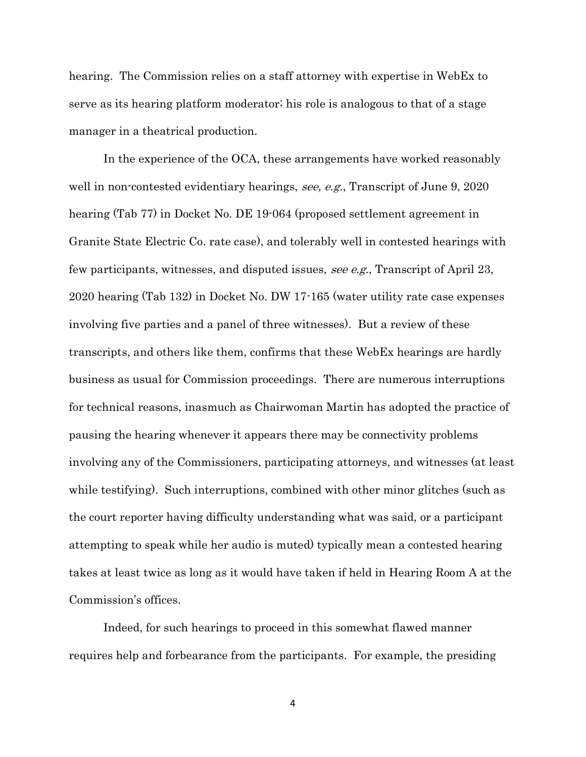hearing. The Commission relies on a staff attorney with expertise in WebEx to serve as its hearing platform moderator; his role is analogous to that of a stage manager in a theatrical production.

 In the experience of the OCA, these arrangements have worked reasonably well in non-contested evidentiary hearings, see, e.g., Transcript of June 9, 2020 hearing (Tab 77) in Docket No. DE 19-064 (proposed settlement agreement in Granite State Electric Co. rate case), and tolerably well in contested hearings with few participants, witnesses, and disputed issues, see e.g., Transcript of April 23, 2020 hearing (Tab 132) in Docket No. DW 17-165 (water utility rate case expenses involving five parties and a panel of three witnesses). But a review of these transcripts, and others like them, confirms that these WebEx hearings are hardly business as usual for Commission proceedings. There are numerous interruptions for technical reasons, inasmuch as Chairwoman Martin has adopted the practice of pausing the hearing whenever it appears there may be connectivity problems involving any of the Commissioners, participating attorneys, and witnesses (at least while testifying). Such interruptions, combined with other minor glitches (such as the court reporter having difficulty understanding what was said, or a participant attempting to speak while her audio is muted) typically mean a contested hearing takes at least twice as long as it would have taken if held in Hearing Room A at the Commission's offices.

 Indeed, for such hearings to proceed in this somewhat flawed manner requires help and forbearance from the participants. For example, the presiding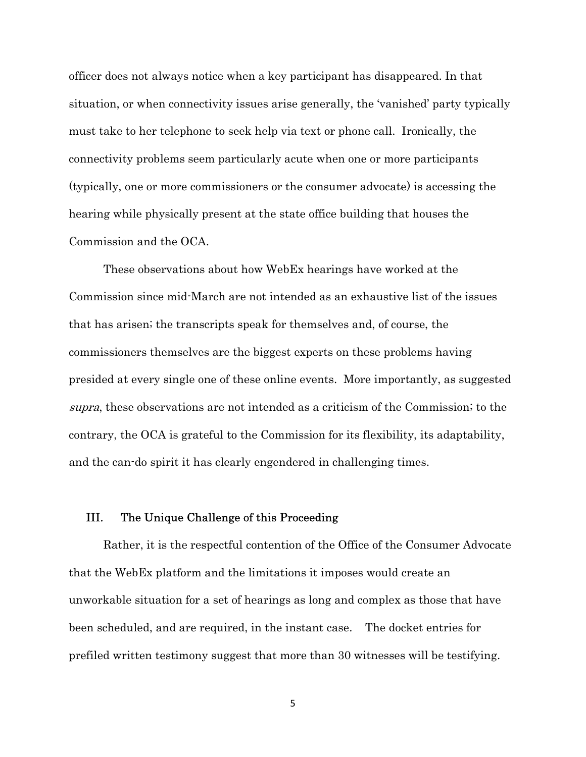officer does not always notice when a key participant has disappeared. In that situation, or when connectivity issues arise generally, the 'vanished' party typically must take to her telephone to seek help via text or phone call. Ironically, the connectivity problems seem particularly acute when one or more participants (typically, one or more commissioners or the consumer advocate) is accessing the hearing while physically present at the state office building that houses the Commission and the OCA.

 These observations about how WebEx hearings have worked at the Commission since mid-March are not intended as an exhaustive list of the issues that has arisen; the transcripts speak for themselves and, of course, the commissioners themselves are the biggest experts on these problems having presided at every single one of these online events. More importantly, as suggested supra, these observations are not intended as a criticism of the Commission; to the contrary, the OCA is grateful to the Commission for its flexibility, its adaptability, and the can-do spirit it has clearly engendered in challenging times.

## III. The Unique Challenge of this Proceeding

Rather, it is the respectful contention of the Office of the Consumer Advocate that the WebEx platform and the limitations it imposes would create an unworkable situation for a set of hearings as long and complex as those that have been scheduled, and are required, in the instant case. The docket entries for prefiled written testimony suggest that more than 30 witnesses will be testifying.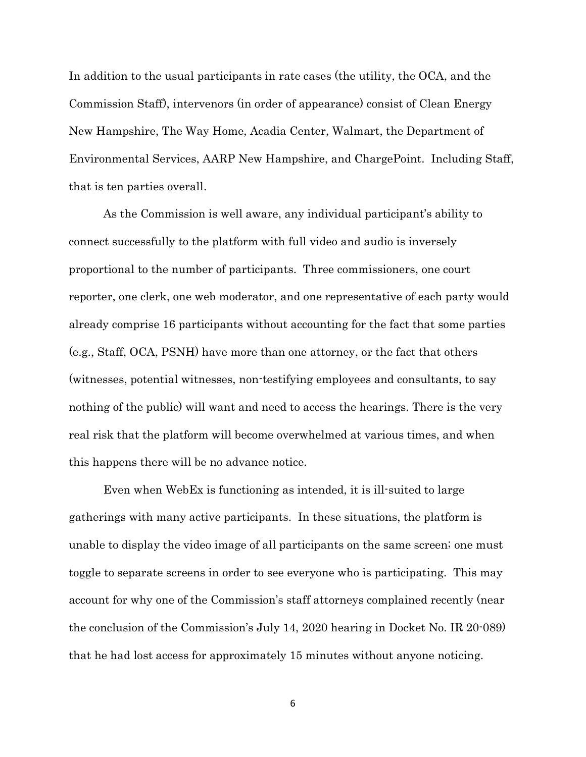In addition to the usual participants in rate cases (the utility, the OCA, and the Commission Staff), intervenors (in order of appearance) consist of Clean Energy New Hampshire, The Way Home, Acadia Center, Walmart, the Department of Environmental Services, AARP New Hampshire, and ChargePoint. Including Staff, that is ten parties overall.

As the Commission is well aware, any individual participant's ability to connect successfully to the platform with full video and audio is inversely proportional to the number of participants. Three commissioners, one court reporter, one clerk, one web moderator, and one representative of each party would already comprise 16 participants without accounting for the fact that some parties (e.g., Staff, OCA, PSNH) have more than one attorney, or the fact that others (witnesses, potential witnesses, non-testifying employees and consultants, to say nothing of the public) will want and need to access the hearings. There is the very real risk that the platform will become overwhelmed at various times, and when this happens there will be no advance notice.

Even when WebEx is functioning as intended, it is ill-suited to large gatherings with many active participants. In these situations, the platform is unable to display the video image of all participants on the same screen; one must toggle to separate screens in order to see everyone who is participating. This may account for why one of the Commission's staff attorneys complained recently (near the conclusion of the Commission's July 14, 2020 hearing in Docket No. IR 20-089) that he had lost access for approximately 15 minutes without anyone noticing.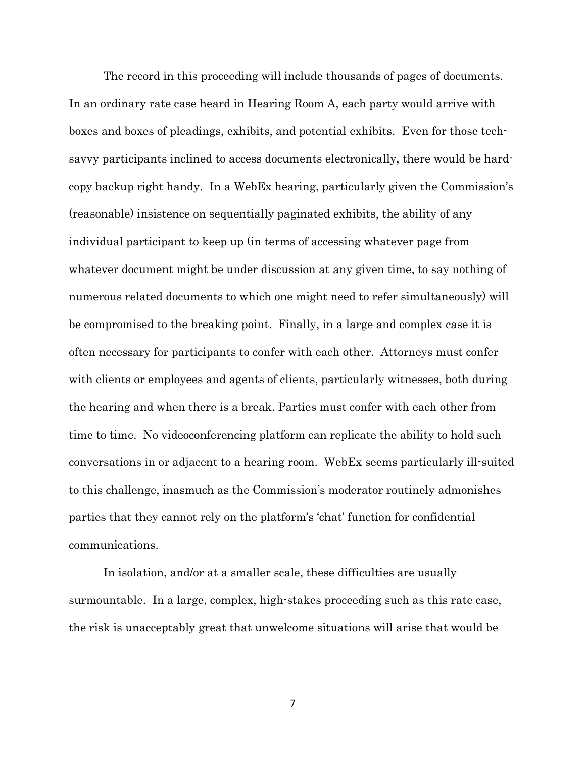The record in this proceeding will include thousands of pages of documents. In an ordinary rate case heard in Hearing Room A, each party would arrive with boxes and boxes of pleadings, exhibits, and potential exhibits. Even for those techsavvy participants inclined to access documents electronically, there would be hardcopy backup right handy. In a WebEx hearing, particularly given the Commission's (reasonable) insistence on sequentially paginated exhibits, the ability of any individual participant to keep up (in terms of accessing whatever page from whatever document might be under discussion at any given time, to say nothing of numerous related documents to which one might need to refer simultaneously) will be compromised to the breaking point. Finally, in a large and complex case it is often necessary for participants to confer with each other. Attorneys must confer with clients or employees and agents of clients, particularly witnesses, both during the hearing and when there is a break. Parties must confer with each other from time to time. No videoconferencing platform can replicate the ability to hold such conversations in or adjacent to a hearing room. WebEx seems particularly ill-suited to this challenge, inasmuch as the Commission's moderator routinely admonishes parties that they cannot rely on the platform's 'chat' function for confidential communications.

In isolation, and/or at a smaller scale, these difficulties are usually surmountable. In a large, complex, high-stakes proceeding such as this rate case, the risk is unacceptably great that unwelcome situations will arise that would be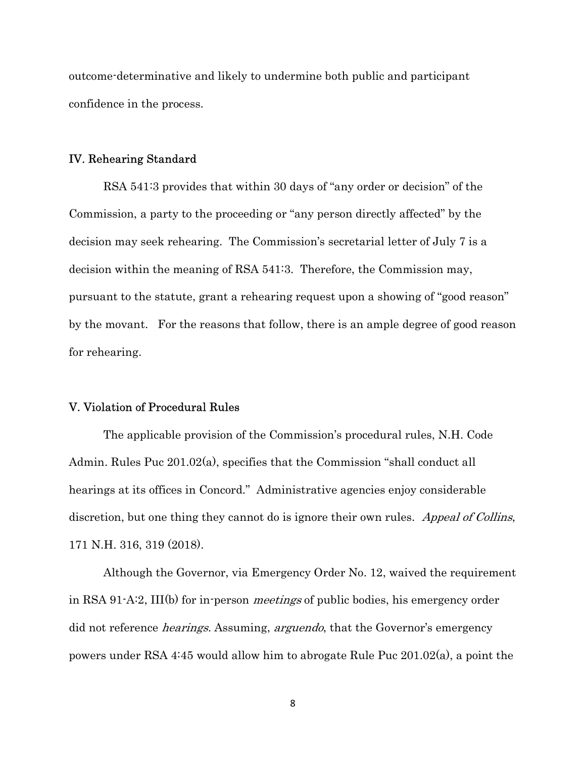outcome-determinative and likely to undermine both public and participant confidence in the process.

#### IV. Rehearing Standard

 RSA 541:3 provides that within 30 days of "any order or decision" of the Commission, a party to the proceeding or "any person directly affected" by the decision may seek rehearing. The Commission's secretarial letter of July 7 is a decision within the meaning of RSA 541:3. Therefore, the Commission may, pursuant to the statute, grant a rehearing request upon a showing of "good reason" by the movant. For the reasons that follow, there is an ample degree of good reason for rehearing.

### V. Violation of Procedural Rules

 The applicable provision of the Commission's procedural rules, N.H. Code Admin. Rules Puc 201.02(a), specifies that the Commission "shall conduct all hearings at its offices in Concord." Administrative agencies enjoy considerable discretion, but one thing they cannot do is ignore their own rules. Appeal of Collins, 171 N.H. 316, 319 (2018).

 Although the Governor, via Emergency Order No. 12, waived the requirement in RSA 91-A:2, III(b) for in-person *meetings* of public bodies, his emergency order did not reference *hearings.* Assuming, *arguendo*, that the Governor's emergency powers under RSA 4:45 would allow him to abrogate Rule Puc 201.02(a), a point the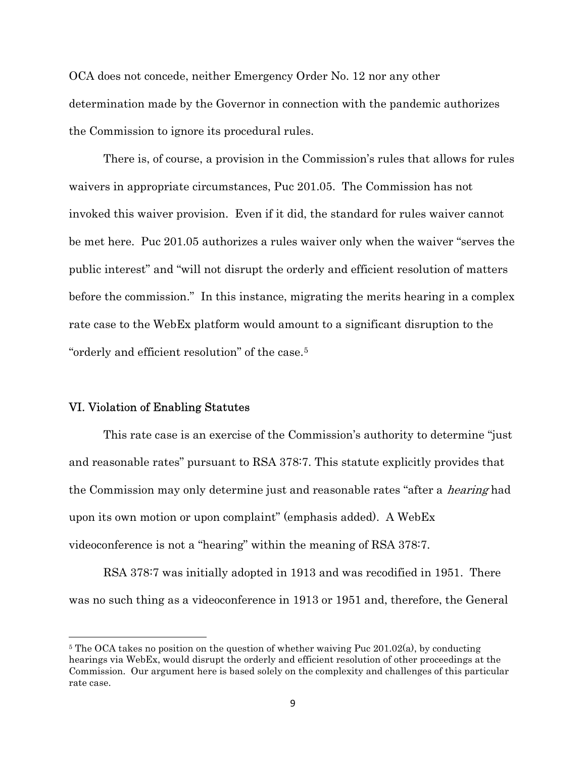OCA does not concede, neither Emergency Order No. 12 nor any other determination made by the Governor in connection with the pandemic authorizes the Commission to ignore its procedural rules.

 There is, of course, a provision in the Commission's rules that allows for rules waivers in appropriate circumstances, Puc 201.05. The Commission has not invoked this waiver provision. Even if it did, the standard for rules waiver cannot be met here. Puc 201.05 authorizes a rules waiver only when the waiver "serves the public interest" and "will not disrupt the orderly and efficient resolution of matters before the commission." In this instance, migrating the merits hearing in a complex rate case to the WebEx platform would amount to a significant disruption to the "orderly and efficient resolution" of the case.<sup>5</sup>

### VI. Violation of Enabling Statutes

 $\overline{a}$ 

 This rate case is an exercise of the Commission's authority to determine "just and reasonable rates" pursuant to RSA 378:7. This statute explicitly provides that the Commission may only determine just and reasonable rates "after a *hearing* had upon its own motion or upon complaint" (emphasis added). A WebEx videoconference is not a "hearing" within the meaning of RSA 378:7.

 RSA 378:7 was initially adopted in 1913 and was recodified in 1951. There was no such thing as a videoconference in 1913 or 1951 and, therefore, the General

<sup>&</sup>lt;sup>5</sup> The OCA takes no position on the question of whether waiving Puc  $201.02(a)$ , by conducting hearings via WebEx, would disrupt the orderly and efficient resolution of other proceedings at the Commission. Our argument here is based solely on the complexity and challenges of this particular rate case.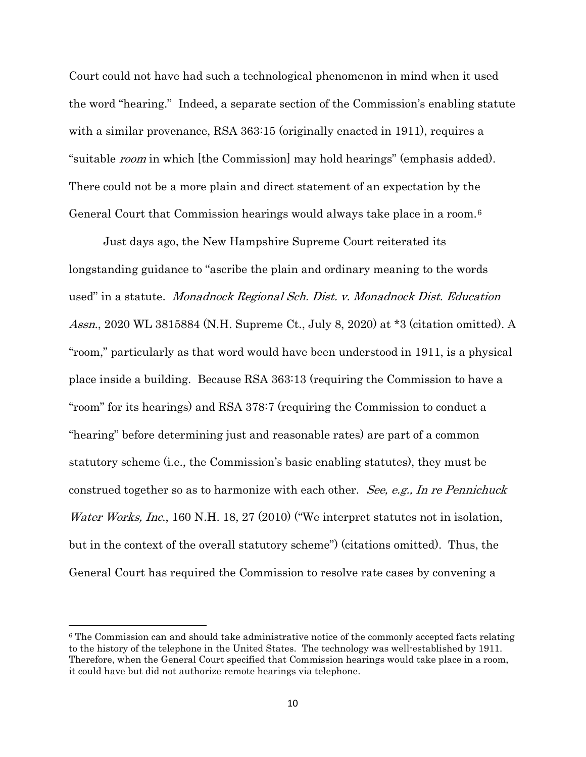Court could not have had such a technological phenomenon in mind when it used the word "hearing." Indeed, a separate section of the Commission's enabling statute with a similar provenance, RSA 363:15 (originally enacted in 1911), requires a "suitable *room* in which [the Commission] may hold hearings" (emphasis added). There could not be a more plain and direct statement of an expectation by the General Court that Commission hearings would always take place in a room.<sup>6</sup>

 Just days ago, the New Hampshire Supreme Court reiterated its longstanding guidance to "ascribe the plain and ordinary meaning to the words used" in a statute. Monadnock Regional Sch. Dist. v. Monadnock Dist. Education Assn., 2020 WL 3815884 (N.H. Supreme Ct., July 8, 2020) at \*3 (citation omitted). A "room," particularly as that word would have been understood in 1911, is a physical place inside a building. Because RSA 363:13 (requiring the Commission to have a "room" for its hearings) and RSA 378:7 (requiring the Commission to conduct a "hearing" before determining just and reasonable rates) are part of a common statutory scheme (i.e., the Commission's basic enabling statutes), they must be construed together so as to harmonize with each other. See, e.g., In re Pennichuck Water Works, Inc., 160 N.H. 18, 27 (2010) ("We interpret statutes not in isolation, but in the context of the overall statutory scheme") (citations omitted). Thus, the General Court has required the Commission to resolve rate cases by convening a

<sup>&</sup>lt;sup>6</sup> The Commission can and should take administrative notice of the commonly accepted facts relating to the history of the telephone in the United States. The technology was well-established by 1911. Therefore, when the General Court specified that Commission hearings would take place in a room, it could have but did not authorize remote hearings via telephone.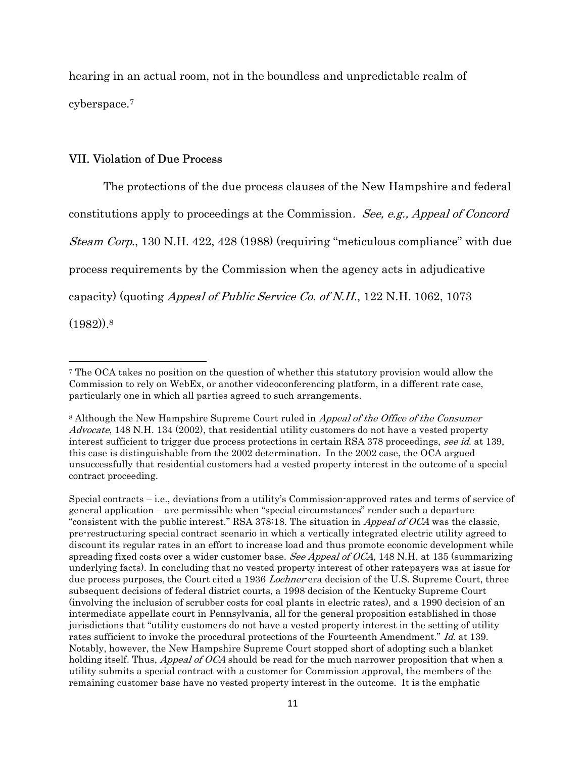hearing in an actual room, not in the boundless and unpredictable realm of cyberspace.<sup>7</sup>

## VII. Violation of Due Process

 The protections of the due process clauses of the New Hampshire and federal constitutions apply to proceedings at the Commission. See, e.g., Appeal of Concord Steam Corp., 130 N.H. 422, 428 (1988) (requiring "meticulous compliance" with due process requirements by the Commission when the agency acts in adjudicative capacity) (quoting *Appeal of Public Service Co. of N.H.*, 122 N.H. 1062, 1073  $(1982).$ <sup>8</sup>

<sup>7</sup> The OCA takes no position on the question of whether this statutory provision would allow the Commission to rely on WebEx, or another videoconferencing platform, in a different rate case, particularly one in which all parties agreed to such arrangements.

<sup>&</sup>lt;sup>8</sup> Although the New Hampshire Supreme Court ruled in *Appeal of the Office of the Consumer* Advocate, 148 N.H. 134 (2002), that residential utility customers do not have a vested property interest sufficient to trigger due process protections in certain RSA 378 proceedings, see id. at 139, this case is distinguishable from the 2002 determination. In the 2002 case, the OCA argued unsuccessfully that residential customers had a vested property interest in the outcome of a special contract proceeding.

Special contracts – i.e., deviations from a utility's Commission-approved rates and terms of service of general application – are permissible when "special circumstances" render such a departure "consistent with the public interest." RSA 378:18. The situation in Appeal of OCA was the classic, pre-restructuring special contract scenario in which a vertically integrated electric utility agreed to discount its regular rates in an effort to increase load and thus promote economic development while spreading fixed costs over a wider customer base. See Appeal of OCA, 148 N.H. at 135 (summarizing underlying facts). In concluding that no vested property interest of other ratepayers was at issue for due process purposes, the Court cited a 1936 *Lochner*-era decision of the U.S. Supreme Court, three subsequent decisions of federal district courts, a 1998 decision of the Kentucky Supreme Court (involving the inclusion of scrubber costs for coal plants in electric rates), and a 1990 decision of an intermediate appellate court in Pennsylvania, all for the general proposition established in those jurisdictions that "utility customers do not have a vested property interest in the setting of utility rates sufficient to invoke the procedural protections of the Fourteenth Amendment." Id. at 139. Notably, however, the New Hampshire Supreme Court stopped short of adopting such a blanket holding itself. Thus, *Appeal of OCA* should be read for the much narrower proposition that when a utility submits a special contract with a customer for Commission approval, the members of the remaining customer base have no vested property interest in the outcome. It is the emphatic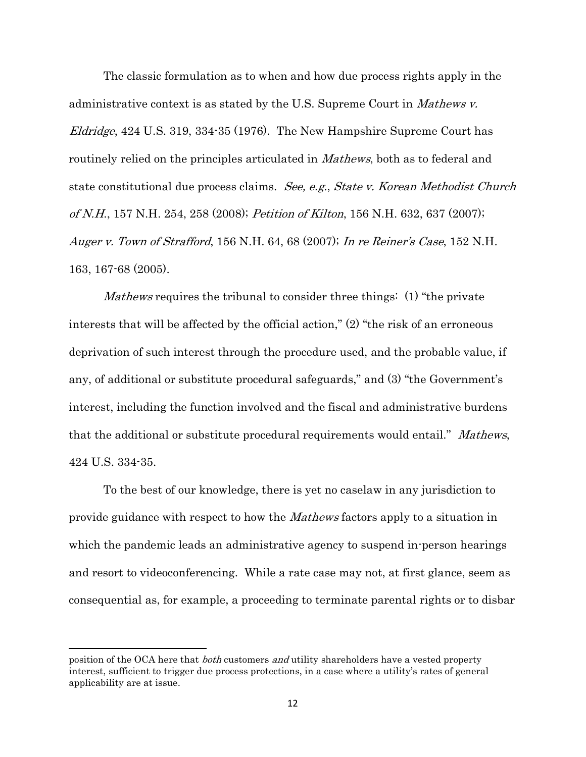The classic formulation as to when and how due process rights apply in the administrative context is as stated by the U.S. Supreme Court in *Mathews v.* Eldridge, 424 U.S. 319, 334-35 (1976). The New Hampshire Supreme Court has routinely relied on the principles articulated in *Mathews*, both as to federal and state constitutional due process claims. See, e.g., State v. Korean Methodist Church of N.H., 157 N.H. 254, 258 (2008); Petition of Kilton, 156 N.H. 632, 637 (2007); Auger v. Town of Strafford, 156 N.H. 64, 68 (2007); In re Reiner's Case, 152 N.H. 163, 167-68 (2005).

Mathews requires the tribunal to consider three things: (1) "the private interests that will be affected by the official action," (2) "the risk of an erroneous deprivation of such interest through the procedure used, and the probable value, if any, of additional or substitute procedural safeguards," and (3) "the Government's interest, including the function involved and the fiscal and administrative burdens that the additional or substitute procedural requirements would entail." Mathews, 424 U.S. 334-35.

 To the best of our knowledge, there is yet no caselaw in any jurisdiction to provide guidance with respect to how the Mathews factors apply to a situation in which the pandemic leads an administrative agency to suspend in-person hearings and resort to videoconferencing. While a rate case may not, at first glance, seem as consequential as, for example, a proceeding to terminate parental rights or to disbar

position of the OCA here that *both* customers *and* utility shareholders have a vested property interest, sufficient to trigger due process protections, in a case where a utility's rates of general applicability are at issue.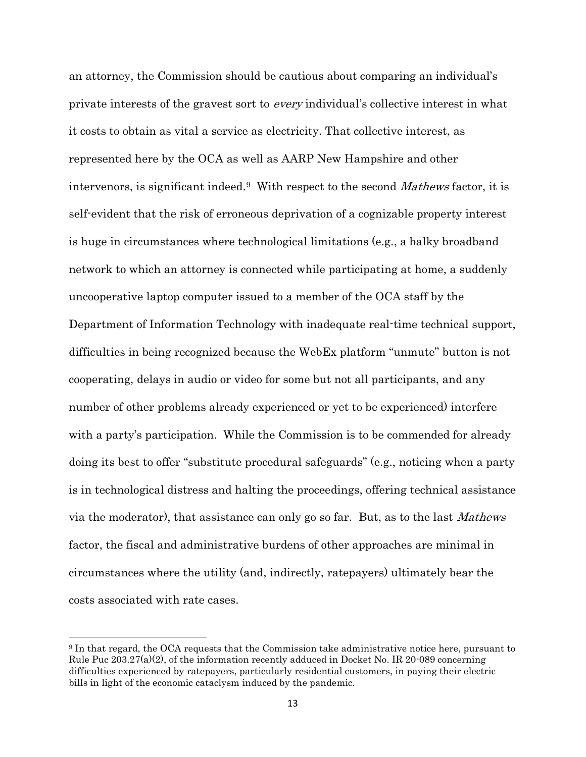an attorney, the Commission should be cautious about comparing an individual's private interests of the gravest sort to every individual's collective interest in what it costs to obtain as vital a service as electricity. That collective interest, as represented here by the OCA as well as AARP New Hampshire and other intervenors, is significant indeed.9 With respect to the second Mathews factor, it is self-evident that the risk of erroneous deprivation of a cognizable property interest is huge in circumstances where technological limitations (e.g., a balky broadband network to which an attorney is connected while participating at home, a suddenly uncooperative laptop computer issued to a member of the OCA staff by the Department of Information Technology with inadequate real-time technical support, difficulties in being recognized because the WebEx platform "unmute" button is not cooperating, delays in audio or video for some but not all participants, and any number of other problems already experienced or yet to be experienced) interfere with a party's participation. While the Commission is to be commended for already doing its best to offer "substitute procedural safeguards" (e.g., noticing when a party is in technological distress and halting the proceedings, offering technical assistance via the moderator), that assistance can only go so far. But, as to the last Mathews factor, the fiscal and administrative burdens of other approaches are minimal in circumstances where the utility (and, indirectly, ratepayers) ultimately bear the costs associated with rate cases.

<sup>9</sup> In that regard, the OCA requests that the Commission take administrative notice here, pursuant to Rule Puc  $203.27(a)(2)$ , of the information recently adduced in Docket No. IR 20-089 concerning difficulties experienced by ratepayers, particularly residential customers, in paying their electric bills in light of the economic cataclysm induced by the pandemic.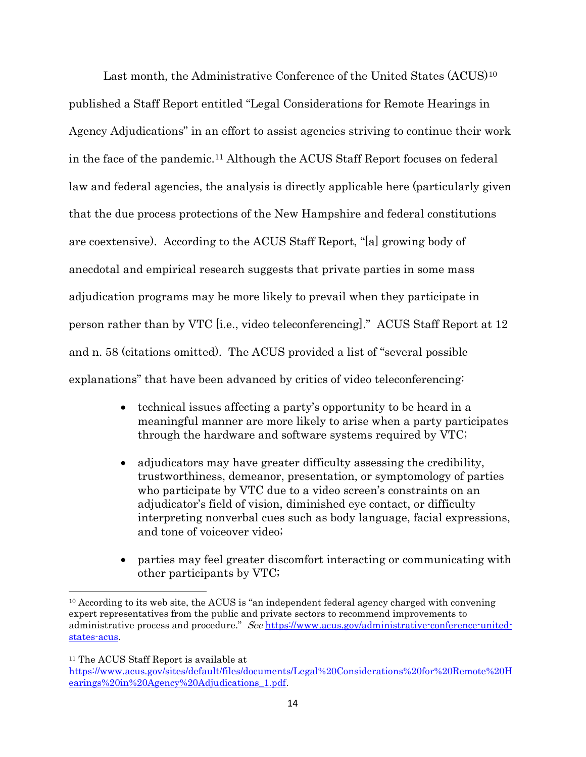Last month, the Administrative Conference of the United States (ACUS)<sup>10</sup> published a Staff Report entitled "Legal Considerations for Remote Hearings in Agency Adjudications" in an effort to assist agencies striving to continue their work in the face of the pandemic.11 Although the ACUS Staff Report focuses on federal law and federal agencies, the analysis is directly applicable here (particularly given that the due process protections of the New Hampshire and federal constitutions are coextensive). According to the ACUS Staff Report, "[a] growing body of anecdotal and empirical research suggests that private parties in some mass adjudication programs may be more likely to prevail when they participate in person rather than by VTC [i.e., video teleconferencing]." ACUS Staff Report at 12 and n. 58 (citations omitted). The ACUS provided a list of "several possible explanations" that have been advanced by critics of video teleconferencing:

- technical issues affecting a party's opportunity to be heard in a meaningful manner are more likely to arise when a party participates through the hardware and software systems required by VTC;
- adjudicators may have greater difficulty assessing the credibility, trustworthiness, demeanor, presentation, or symptomology of parties who participate by VTC due to a video screen's constraints on an adjudicator's field of vision, diminished eye contact, or difficulty interpreting nonverbal cues such as body language, facial expressions, and tone of voiceover video;
- parties may feel greater discomfort interacting or communicating with other participants by VTC;

<sup>11</sup> The ACUS Staff Report is available at

<sup>&</sup>lt;sup>10</sup> According to its web site, the ACUS is "an independent federal agency charged with convening expert representatives from the public and private sectors to recommend improvements to administrative process and procedure." See https://www.acus.gov/administrative-conference-unitedstates-acus.

https://www.acus.gov/sites/default/files/documents/Legal%20Considerations%20for%20Remote%20H earings%20in%20Agency%20Adjudications\_1.pdf.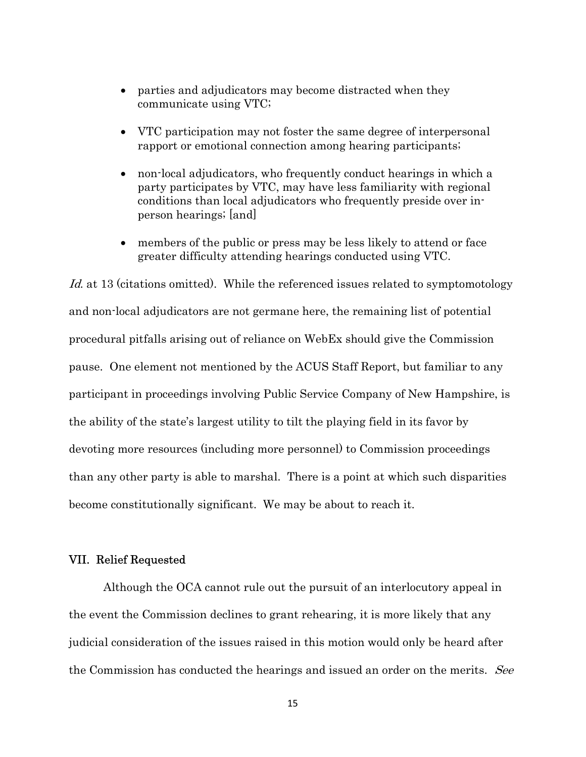- parties and adjudicators may become distracted when they communicate using VTC;
- VTC participation may not foster the same degree of interpersonal rapport or emotional connection among hearing participants;
- non-local adjudicators, who frequently conduct hearings in which a party participates by VTC, may have less familiarity with regional conditions than local adjudicators who frequently preside over inperson hearings; [and]
- members of the public or press may be less likely to attend or face greater difficulty attending hearings conducted using VTC.

Id. at 13 (citations omitted). While the referenced issues related to symptomotology and non-local adjudicators are not germane here, the remaining list of potential procedural pitfalls arising out of reliance on WebEx should give the Commission pause. One element not mentioned by the ACUS Staff Report, but familiar to any participant in proceedings involving Public Service Company of New Hampshire, is the ability of the state's largest utility to tilt the playing field in its favor by devoting more resources (including more personnel) to Commission proceedings than any other party is able to marshal. There is a point at which such disparities become constitutionally significant. We may be about to reach it.

# VII. Relief Requested

 Although the OCA cannot rule out the pursuit of an interlocutory appeal in the event the Commission declines to grant rehearing, it is more likely that any judicial consideration of the issues raised in this motion would only be heard after the Commission has conducted the hearings and issued an order on the merits. See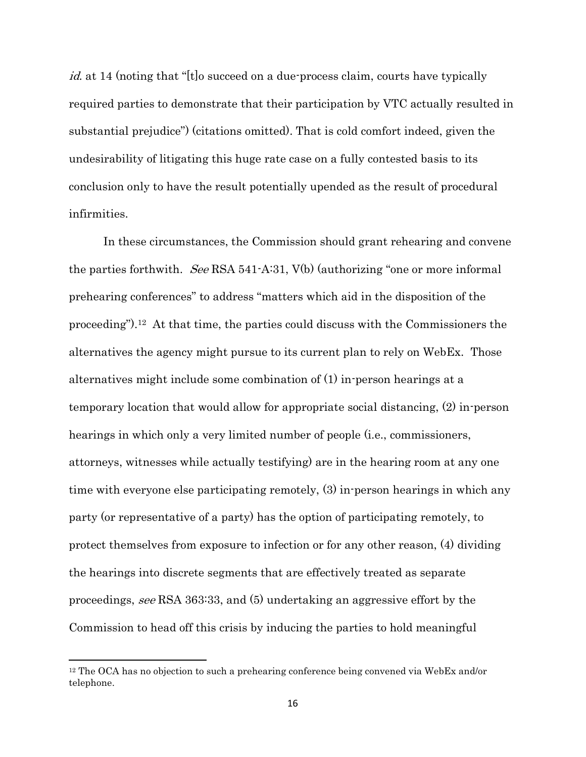id. at 14 (noting that "[t]o succeed on a due-process claim, courts have typically required parties to demonstrate that their participation by VTC actually resulted in substantial prejudice") (citations omitted). That is cold comfort indeed, given the undesirability of litigating this huge rate case on a fully contested basis to its conclusion only to have the result potentially upended as the result of procedural infirmities.

 In these circumstances, the Commission should grant rehearing and convene the parties forthwith. See RSA 541-A:31,  $V(b)$  (authorizing "one or more informal prehearing conferences" to address "matters which aid in the disposition of the proceeding").12 At that time, the parties could discuss with the Commissioners the alternatives the agency might pursue to its current plan to rely on WebEx. Those alternatives might include some combination of (1) in-person hearings at a temporary location that would allow for appropriate social distancing, (2) in-person hearings in which only a very limited number of people (i.e., commissioners, attorneys, witnesses while actually testifying) are in the hearing room at any one time with everyone else participating remotely, (3) in-person hearings in which any party (or representative of a party) has the option of participating remotely, to protect themselves from exposure to infection or for any other reason, (4) dividing the hearings into discrete segments that are effectively treated as separate proceedings, see RSA 363:33, and (5) undertaking an aggressive effort by the Commission to head off this crisis by inducing the parties to hold meaningful

<sup>12</sup> The OCA has no objection to such a prehearing conference being convened via WebEx and/or telephone.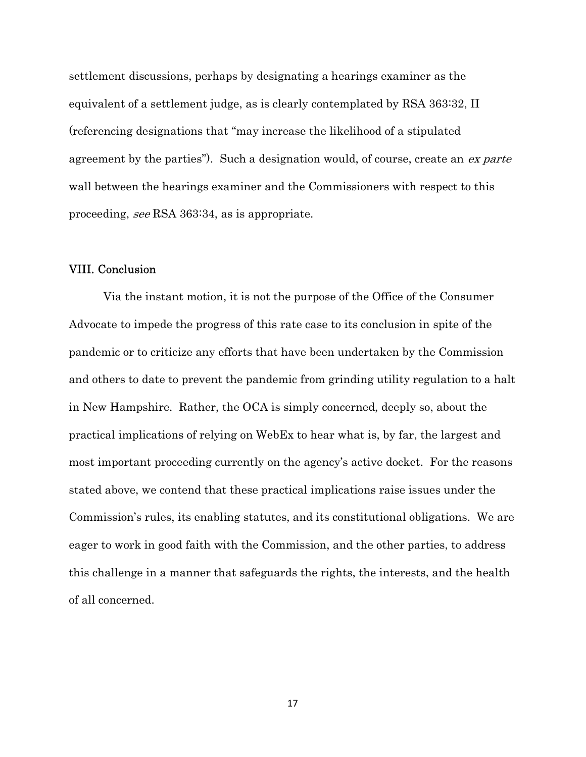settlement discussions, perhaps by designating a hearings examiner as the equivalent of a settlement judge, as is clearly contemplated by RSA 363:32, II (referencing designations that "may increase the likelihood of a stipulated agreement by the parties"). Such a designation would, of course, create an ex parte wall between the hearings examiner and the Commissioners with respect to this proceeding, see RSA 363:34, as is appropriate.

# VIII. Conclusion

 Via the instant motion, it is not the purpose of the Office of the Consumer Advocate to impede the progress of this rate case to its conclusion in spite of the pandemic or to criticize any efforts that have been undertaken by the Commission and others to date to prevent the pandemic from grinding utility regulation to a halt in New Hampshire. Rather, the OCA is simply concerned, deeply so, about the practical implications of relying on WebEx to hear what is, by far, the largest and most important proceeding currently on the agency's active docket. For the reasons stated above, we contend that these practical implications raise issues under the Commission's rules, its enabling statutes, and its constitutional obligations. We are eager to work in good faith with the Commission, and the other parties, to address this challenge in a manner that safeguards the rights, the interests, and the health of all concerned.